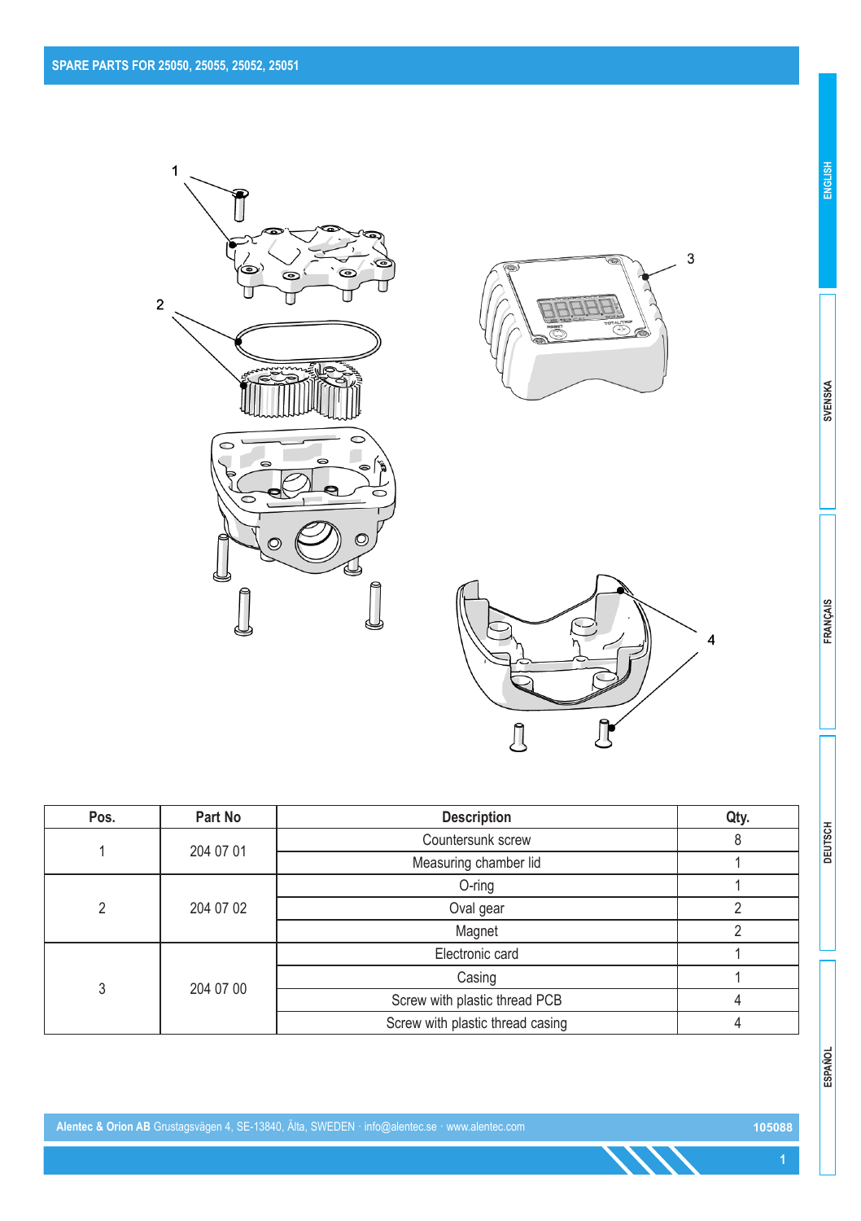





| Pos. | Part No   | <b>Description</b>               | Qty. |
|------|-----------|----------------------------------|------|
|      |           | Countersunk screw                | 8    |
|      | 204 07 01 | Measuring chamber lid            |      |
|      |           | O-ring                           |      |
| 2    | 204 07 02 | Oval gear                        | 2    |
|      |           | Magnet                           | ∩    |
|      |           | Electronic card                  |      |
| 3    |           | Casing                           |      |
|      | 204 07 00 | Screw with plastic thread PCB    | 4    |
|      |           | Screw with plastic thread casing |      |

**ENGLISH**

**1**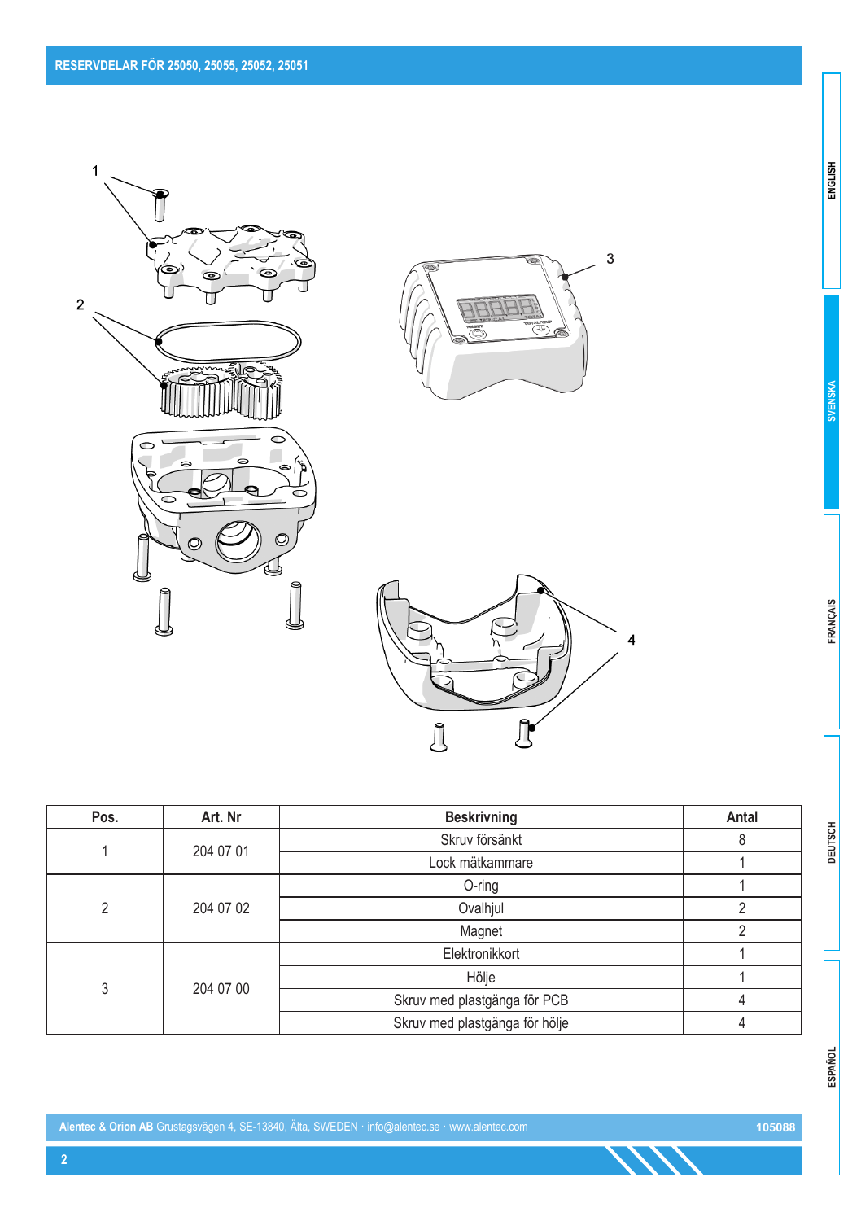





| Pos.           | Art. Nr   | <b>Beskrivning</b>             | Antal |
|----------------|-----------|--------------------------------|-------|
|                |           | Skruv försänkt                 | 8     |
|                | 204 07 01 | Lock mätkammare                |       |
|                | 204 07 02 | $O$ -ring                      |       |
| $\mathfrak{p}$ |           | Ovalhjul                       | c     |
|                |           | Magnet                         | ŋ     |
|                |           | Elektronikkort                 |       |
| 3              |           | Hölje                          |       |
|                | 204 07 00 | Skruv med plastgänga för PCB   |       |
|                |           | Skruv med plastgänga för hölje |       |

ESPAÑOL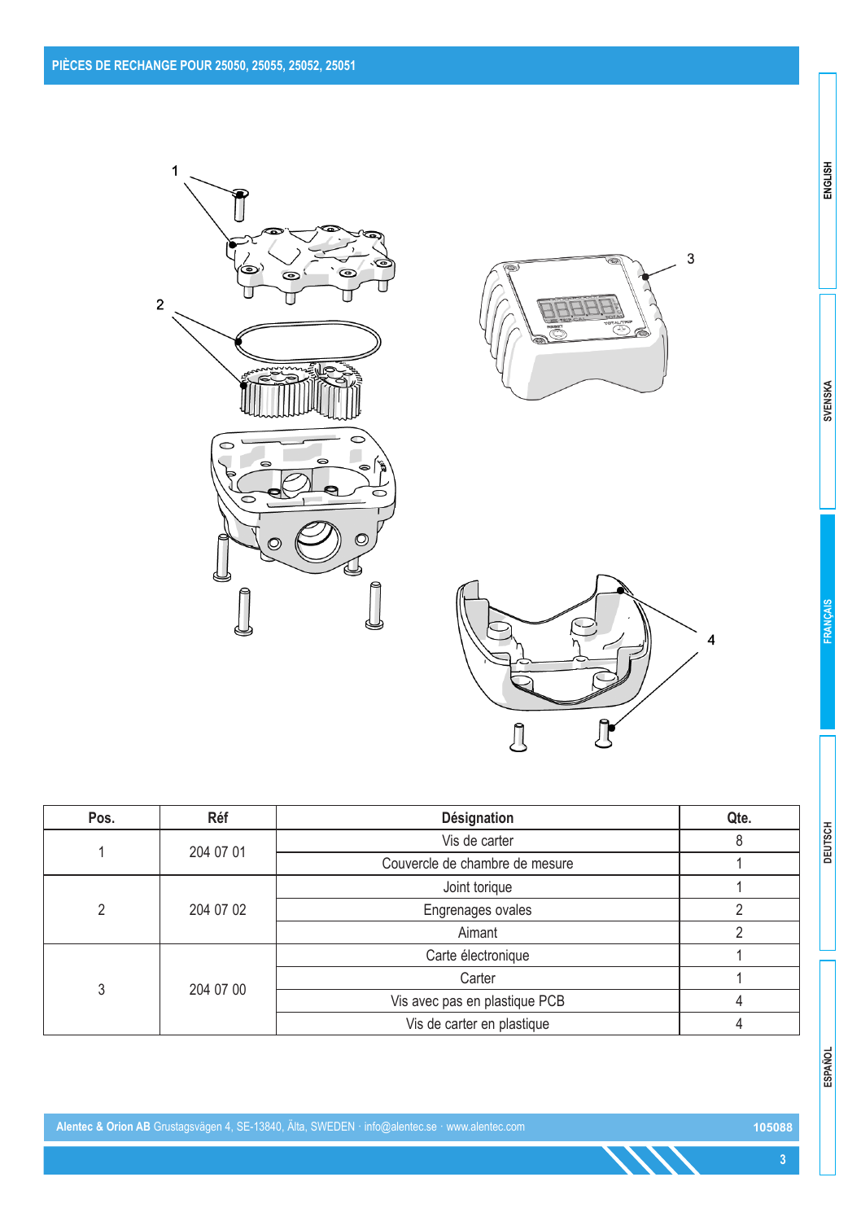





| Pos. | Réf       | Désignation                    | Qte. |
|------|-----------|--------------------------------|------|
|      | 204 07 01 | Vis de carter                  |      |
|      |           | Couvercle de chambre de mesure |      |
|      |           | Joint torique                  |      |
| C    | 204 07 02 | Engrenages ovales              |      |
|      |           | Aimant                         |      |
|      |           | Carte électronique             |      |
| 3    |           | Carter                         |      |
|      | 204 07 00 | Vis avec pas en plastique PCB  |      |
|      |           | Vis de carter en plastique     |      |

**Alentec & Orion AB** Grustagsvägen 4, SE-13840, Älta, SWEDEN · info@alentec.se · www.alentec.com **105088**

**SVENSKA** 

ENGLISH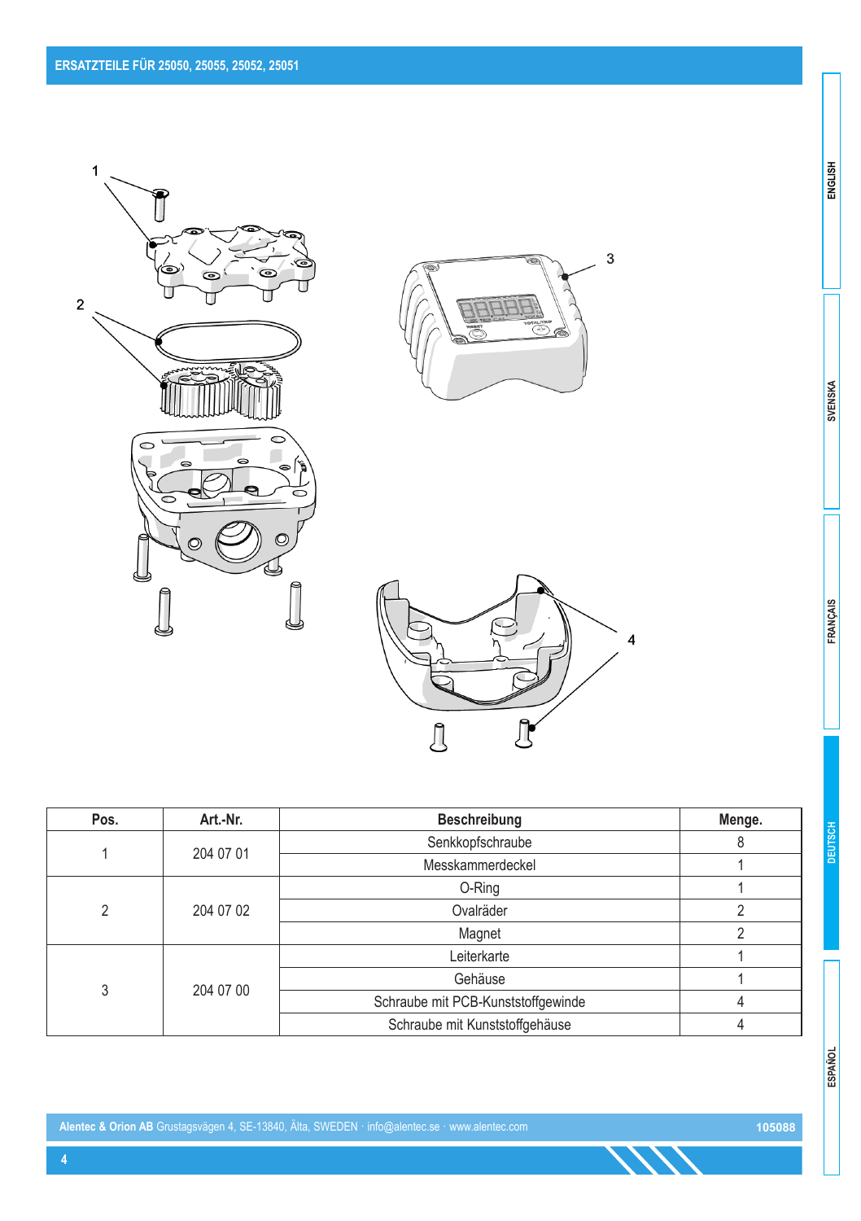





| Pos. | Art.-Nr.  | Beschreibung                   | Menge.                             |  |
|------|-----------|--------------------------------|------------------------------------|--|
|      | 204 07 01 | Senkkopfschraube               | 8                                  |  |
|      |           | Messkammerdeckel               |                                    |  |
|      |           | O-Ring                         |                                    |  |
| 2    | 204 07 02 | Ovalräder                      |                                    |  |
|      |           | Magnet                         |                                    |  |
|      |           | Leiterkarte                    |                                    |  |
| 3    | 204 07 00 | Gehäuse                        |                                    |  |
|      |           |                                | Schraube mit PCB-Kunststoffgewinde |  |
|      |           | Schraube mit Kunststoffgehäuse |                                    |  |

**Alentec & Orion AB** Grustagsvägen 4, SE-13840, Älta, SWEDEN · info@alentec.se · www.alentec.com **105088**

**SVENSKA** 

ENGLISH

FRANÇAIS